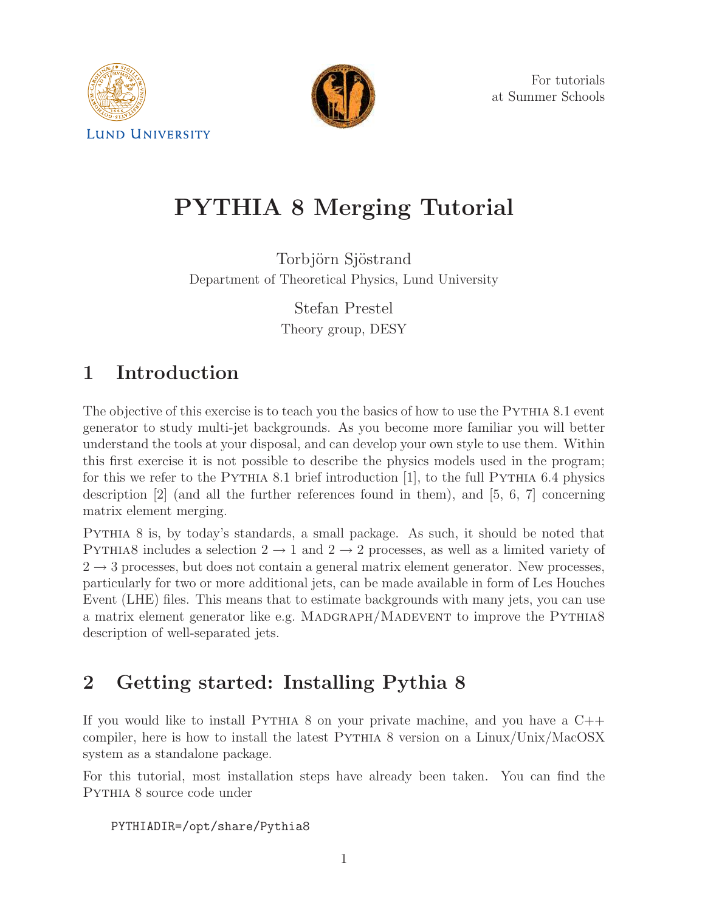



For tutorials at Summer Schools

# PYTHIA 8 Merging Tutorial

Torbjörn Sjöstrand Department of Theoretical Physics, Lund University

> Stefan Prestel Theory group, DESY

## 1 Introduction

The objective of this exercise is to teach you the basics of how to use the PYTHIA 8.1 event generator to study multi-jet backgrounds. As you become more familiar you will better understand the tools at your disposal, and can develop your own style to use them. Within this first exercise it is not possible to describe the physics models used in the program; for this we refer to the PYTHIA 8.1 brief introduction  $[1]$ , to the full PYTHIA 6.4 physics description [2] (and all the further references found in them), and [5, 6, 7] concerning matrix element merging.

Pythia 8 is, by today's standards, a small package. As such, it should be noted that PYTHIA8 includes a selection  $2 \rightarrow 1$  and  $2 \rightarrow 2$  processes, as well as a limited variety of  $2 \rightarrow 3$  processes, but does not contain a general matrix element generator. New processes, particularly for two or more additional jets, can be made available in form of Les Houches Event (LHE) files. This means that to estimate backgrounds with many jets, you can use a matrix element generator like e.g. MADGRAPH/MADEVENT to improve the PYTHIA8 description of well-separated jets.

## 2 Getting started: Installing Pythia 8

If you would like to install PYTHIA 8 on your private machine, and you have a  $C++$ compiler, here is how to install the latest Pythia 8 version on a Linux/Unix/MacOSX system as a standalone package.

For this tutorial, most installation steps have already been taken. You can find the Pythia 8 source code under

```
PYTHIADIR=/opt/share/Pythia8
```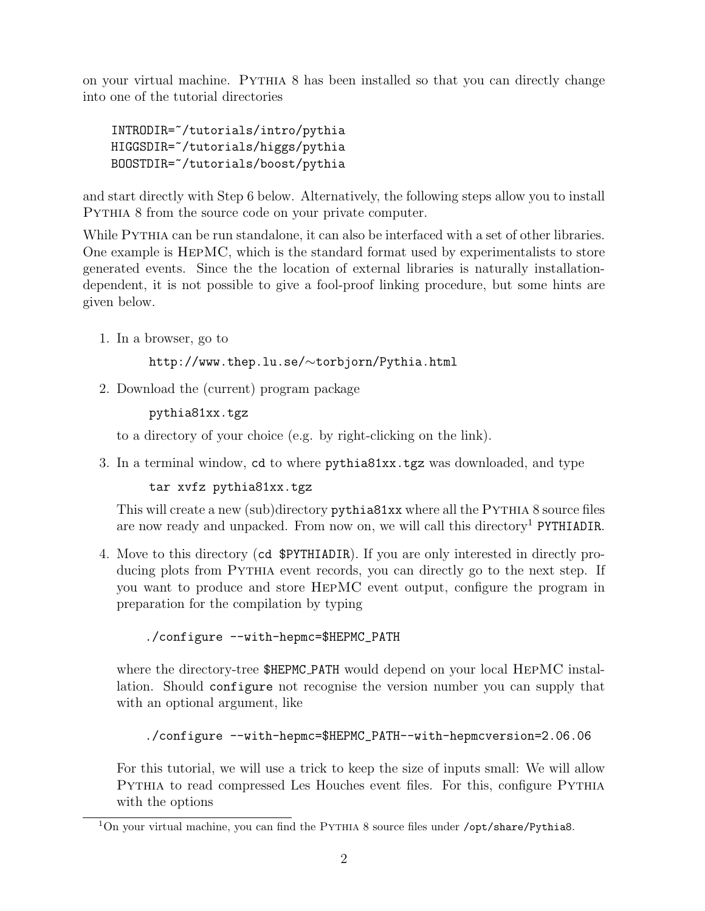on your virtual machine. Pythia 8 has been installed so that you can directly change into one of the tutorial directories

```
INTRODIR=~/tutorials/intro/pythia
HIGGSDIR=~/tutorials/higgs/pythia
BOOSTDIR=~/tutorials/boost/pythia
```
and start directly with Step 6 below. Alternatively, the following steps allow you to install Pythia 8 from the source code on your private computer.

While PYTHIA can be run standalone, it can also be interfaced with a set of other libraries. One example is HepMC, which is the standard format used by experimentalists to store generated events. Since the the location of external libraries is naturally installationdependent, it is not possible to give a fool-proof linking procedure, but some hints are given below.

1. In a browser, go to

http://www.thep.lu.se/∼torbjorn/Pythia.html

2. Download the (current) program package

pythia81xx.tgz

to a directory of your choice (e.g. by right-clicking on the link).

3. In a terminal window, cd to where pythia81xx.tgz was downloaded, and type

```
tar xvfz pythia81xx.tgz
```
This will create a new (sub)directory pythia81xx where all the PYTHIA 8 source files are now ready and unpacked. From now on, we will call this directory<sup>1</sup> PYTHIADIR.

4. Move to this directory (cd \$PYTHIADIR). If you are only interested in directly producing plots from Pythia event records, you can directly go to the next step. If you want to produce and store HepMC event output, configure the program in preparation for the compilation by typing

```
./configure --with-hepmc=$HEPMC_PATH
```
where the directory-tree \$HEPMC\_PATH would depend on your local HEPMC installation. Should configure not recognise the version number you can supply that with an optional argument, like

```
./configure --with-hepmc=$HEPMC_PATH--with-hepmcversion=2.06.06
```
For this tutorial, we will use a trick to keep the size of inputs small: We will allow Pythia to read compressed Les Houches event files. For this, configure Pythia with the options

<sup>&</sup>lt;sup>1</sup>On your virtual machine, you can find the PYTHIA 8 source files under /opt/share/Pythia8.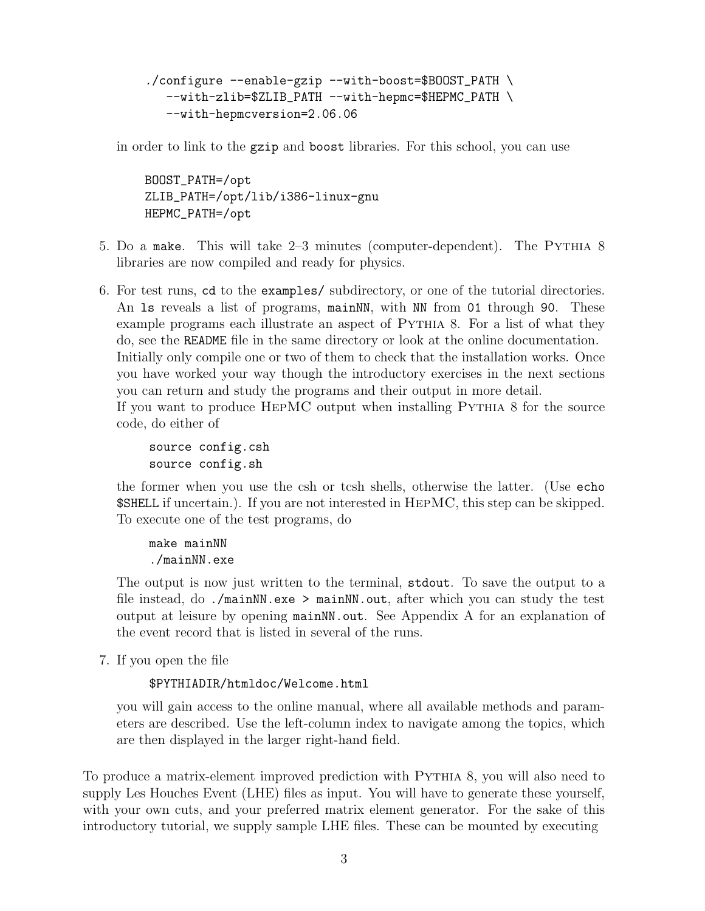```
./configure --enable-gzip --with-boost=$BOOST_PATH \
  --with-zlib=$ZLIB_PATH --with-hepmc=$HEPMC_PATH \
  --with-hepmcversion=2.06.06
```
in order to link to the gzip and boost libraries. For this school, you can use

BOOST\_PATH=/opt ZLIB\_PATH=/opt/lib/i386-linux-gnu HEPMC\_PATH=/opt

- 5. Do a make. This will take 2–3 minutes (computer-dependent). The Pythia 8 libraries are now compiled and ready for physics.
- 6. For test runs, cd to the examples/ subdirectory, or one of the tutorial directories. An 1s reveals a list of programs, mainNN, with NN from 01 through 90. These example programs each illustrate an aspect of PYTHIA 8. For a list of what they do, see the README file in the same directory or look at the online documentation. Initially only compile one or two of them to check that the installation works. Once you have worked your way though the introductory exercises in the next sections you can return and study the programs and their output in more detail. If you want to produce HepMC output when installing Pythia 8 for the source code, do either of

source config.csh source config.sh

the former when you use the csh or tcsh shells, otherwise the latter. (Use echo \$SHELL if uncertain.). If you are not interested in HepMC, this step can be skipped. To execute one of the test programs, do

make mainNN ./mainNN.exe

The output is now just written to the terminal, stdout. To save the output to a file instead, do ./mainNN.exe > mainNN.out, after which you can study the test output at leisure by opening mainNN.out. See Appendix A for an explanation of the event record that is listed in several of the runs.

7. If you open the file

\$PYTHIADIR/htmldoc/Welcome.html

you will gain access to the online manual, where all available methods and parameters are described. Use the left-column index to navigate among the topics, which are then displayed in the larger right-hand field.

To produce a matrix-element improved prediction with Pythia 8, you will also need to supply Les Houches Event (LHE) files as input. You will have to generate these yourself, with your own cuts, and your preferred matrix element generator. For the sake of this introductory tutorial, we supply sample LHE files. These can be mounted by executing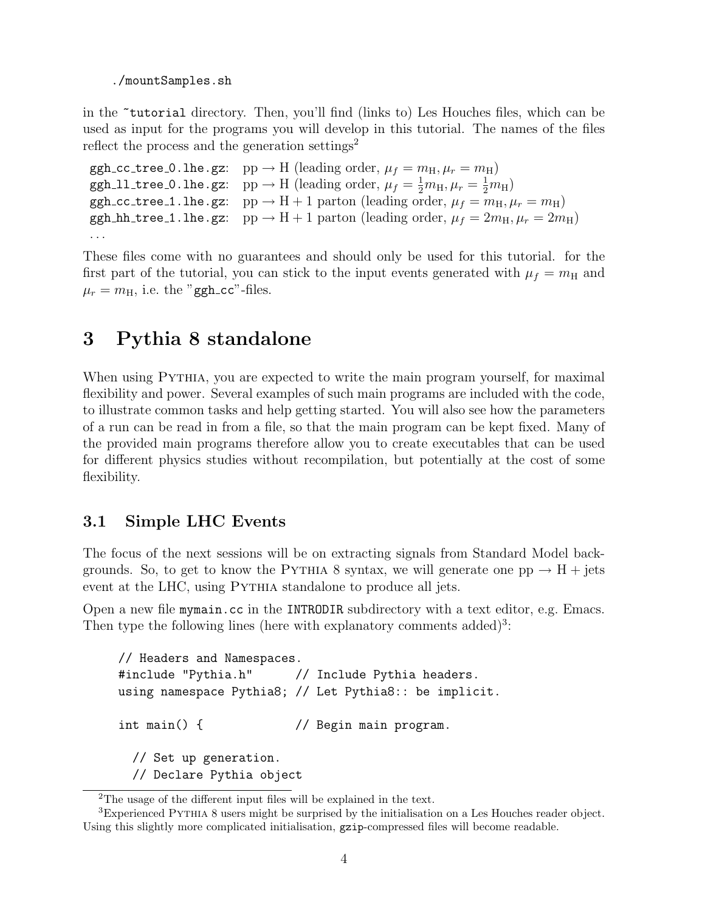./mountSamples.sh

in the ~tutorial directory. Then, you'll find (links to) Les Houches files, which can be used as input for the programs you will develop in this tutorial. The names of the files reflect the process and the generation settings<sup>2</sup>

```
ggh cc tree 0.lhe.gz: pp \rightarrow H (leading order, \mu_f = m_H, \mu_r = m_H)
ggh 11 tree 0.1he.gz: pp \rightarrow H (leading order, \mu_f = \frac{1}{2}m_H, \mu_r = \frac{1}{2}m_H)
ggh cc tree 1.lhe.gz: pp \rightarrow H + 1 parton (leading order, \mu_f = m_H, \mu_r = m_H)
ggh hh tree 1.lhe.gz: pp \rightarrow H + 1 parton (leading order, \mu_f = 2m_H, \mu_r = 2m_H)
. . .
```
These files come with no guarantees and should only be used for this tutorial. for the first part of the tutorial, you can stick to the input events generated with  $\mu_f = m_\text{H}$  and  $\mu_r = m_H$ , i.e. the "ggh\_cc"-files.

### 3 Pythia 8 standalone

When using PYTHIA, you are expected to write the main program yourself, for maximal flexibility and power. Several examples of such main programs are included with the code, to illustrate common tasks and help getting started. You will also see how the parameters of a run can be read in from a file, so that the main program can be kept fixed. Many of the provided main programs therefore allow you to create executables that can be used for different physics studies without recompilation, but potentially at the cost of some flexibility.

#### 3.1 Simple LHC Events

The focus of the next sessions will be on extracting signals from Standard Model backgrounds. So, to get to know the PYTHIA 8 syntax, we will generate one  $pp \rightarrow H + jets$ event at the LHC, using PYTHIA standalone to produce all jets.

Open a new file mymain.cc in the INTRODIR subdirectory with a text editor, e.g. Emacs. Then type the following lines (here with explanatory comments added)<sup>3</sup>:

```
// Headers and Namespaces.
#include "Pythia.h" // Include Pythia headers.
using namespace Pythia8; // Let Pythia8:: be implicit.
int main() { // Begin main program.
 // Set up generation.
 // Declare Pythia object
```
<sup>2</sup>The usage of the different input files will be explained in the text.

<sup>3</sup>Experienced Pythia 8 users might be surprised by the initialisation on a Les Houches reader object. Using this slightly more complicated initialisation, gzip-compressed files will become readable.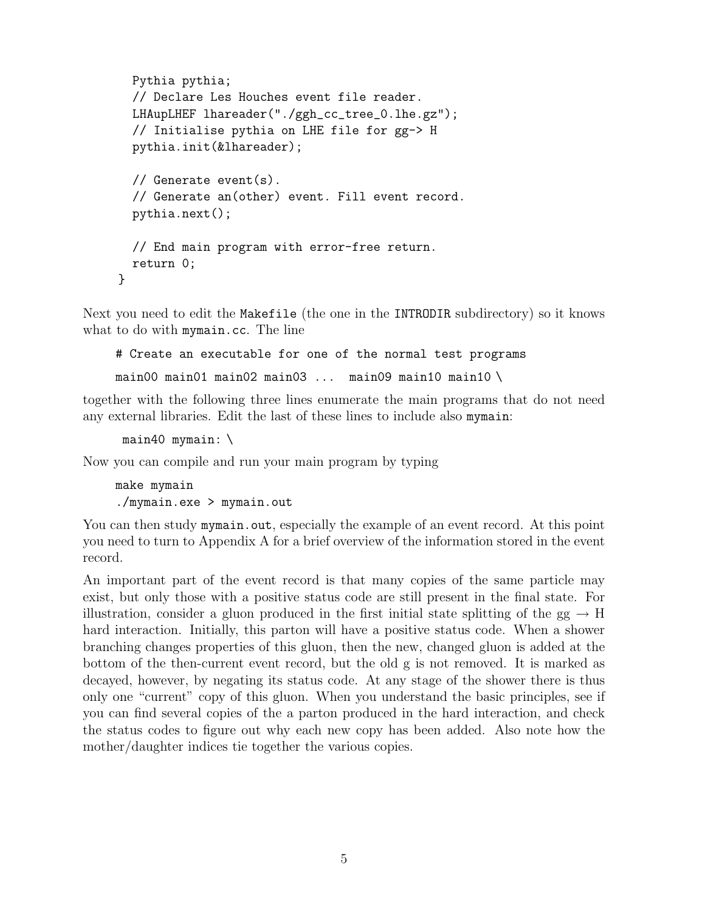```
Pythia pythia;
 // Declare Les Houches event file reader.
 LHAupLHEF lhareader("./ggh_cc_tree_0.lhe.gz");
 // Initialise pythia on LHE file for gg-> H
 pythia.init(&lhareader);
 // Generate event(s).
 // Generate an(other) event. Fill event record.
 pythia.next();
 // End main program with error-free return.
 return 0;
}
```
Next you need to edit the Makefile (the one in the INTRODIR subdirectory) so it knows what to do with mymain.cc. The line

```
# Create an executable for one of the normal test programs
```
main00 main01 main02 main03 ... main09 main10 main10 \

together with the following three lines enumerate the main programs that do not need any external libraries. Edit the last of these lines to include also mymain:

main40 mymain: \

Now you can compile and run your main program by typing

make mymain ./mymain.exe > mymain.out

You can then study mymain.out, especially the example of an event record. At this point you need to turn to Appendix A for a brief overview of the information stored in the event record.

An important part of the event record is that many copies of the same particle may exist, but only those with a positive status code are still present in the final state. For illustration, consider a gluon produced in the first initial state splitting of the  $gg \to H$ hard interaction. Initially, this parton will have a positive status code. When a shower branching changes properties of this gluon, then the new, changed gluon is added at the bottom of the then-current event record, but the old g is not removed. It is marked as decayed, however, by negating its status code. At any stage of the shower there is thus only one "current" copy of this gluon. When you understand the basic principles, see if you can find several copies of the a parton produced in the hard interaction, and check the status codes to figure out why each new copy has been added. Also note how the mother/daughter indices tie together the various copies.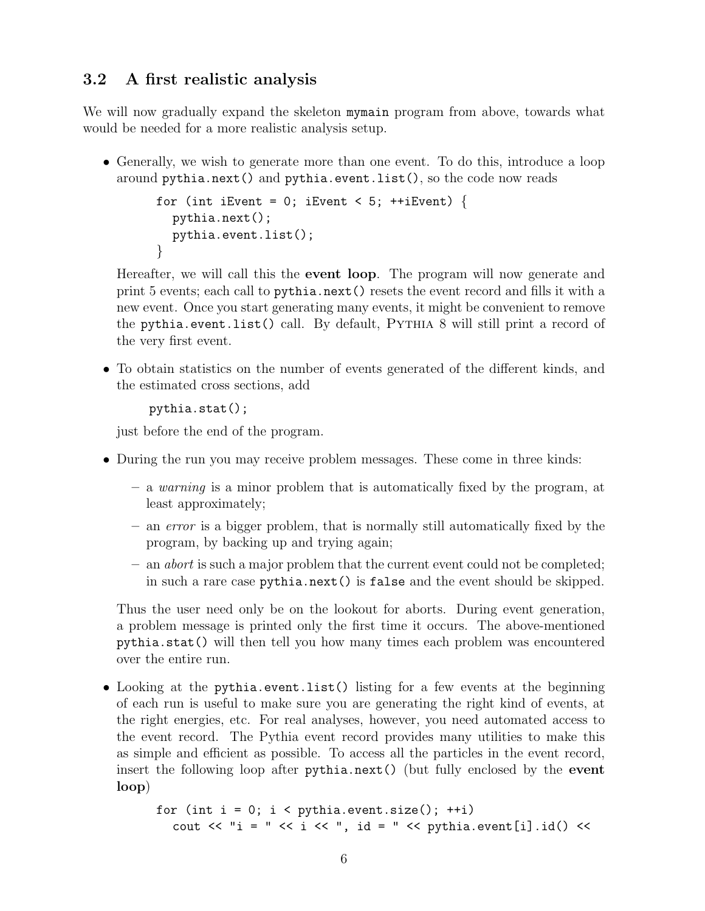#### 3.2 A first realistic analysis

We will now gradually expand the skeleton mymain program from above, towards what would be needed for a more realistic analysis setup.

• Generally, we wish to generate more than one event. To do this, introduce a loop around pythia.next() and pythia.event.list(), so the code now reads

```
for (int iEvent = 0; iEvent < 5; ++iEvent) {
  pythia.next();
  pythia.event.list();
}
```
Hereafter, we will call this the event loop. The program will now generate and print 5 events; each call to pythia.next() resets the event record and fills it with a new event. Once you start generating many events, it might be convenient to remove the pythia.event.list() call. By default, Pythia 8 will still print a record of the very first event.

• To obtain statistics on the number of events generated of the different kinds, and the estimated cross sections, add

```
pythia.stat();
```
just before the end of the program.

- During the run you may receive problem messages. These come in three kinds:
	- a warning is a minor problem that is automatically fixed by the program, at least approximately;
	- an error is a bigger problem, that is normally still automatically fixed by the program, by backing up and trying again;
	- $-$  an *abort* is such a major problem that the current event could not be completed; in such a rare case pythia.next() is false and the event should be skipped.

Thus the user need only be on the lookout for aborts. During event generation, a problem message is printed only the first time it occurs. The above-mentioned pythia.stat() will then tell you how many times each problem was encountered over the entire run.

• Looking at the pythia.event.list() listing for a few events at the beginning of each run is useful to make sure you are generating the right kind of events, at the right energies, etc. For real analyses, however, you need automated access to the event record. The Pythia event record provides many utilities to make this as simple and efficient as possible. To access all the particles in the event record, insert the following loop after pythia.next() (but fully enclosed by the event loop)

```
for (int i = 0; i < pythia.event.size(); ++i)
   cout \langle\langle "i = " \langle\langle i \rangle \langle \rangle id = " \langle pythia.event[i].id() \langle\langle
```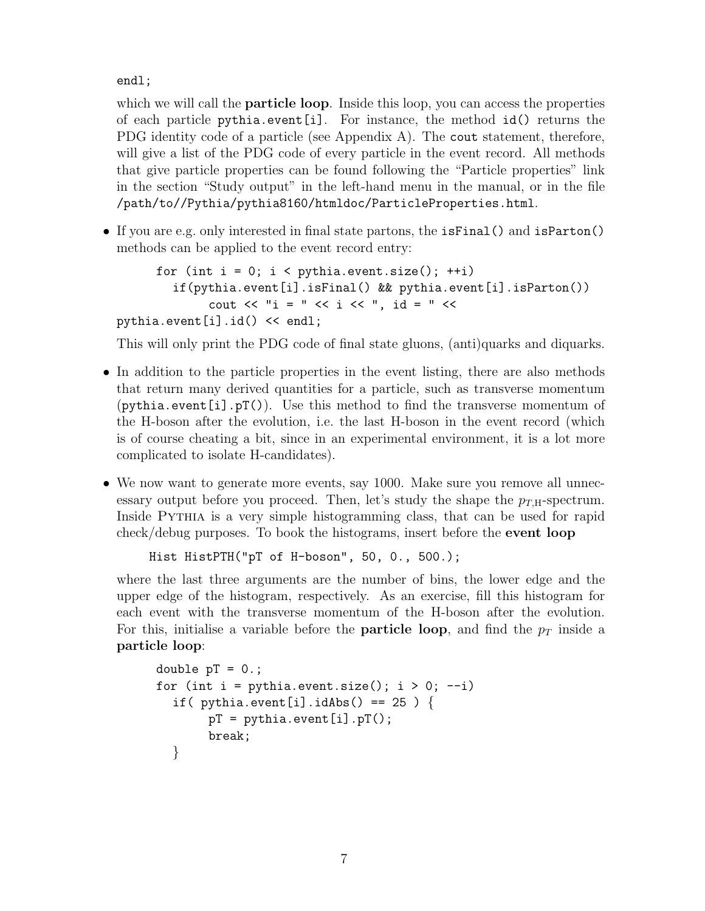endl;

which we will call the **particle loop**. Inside this loop, you can access the properties of each particle pythia.event[i]. For instance, the method  $id()$  returns the PDG identity code of a particle (see Appendix A). The cout statement, therefore, will give a list of the PDG code of every particle in the event record. All methods that give particle properties can be found following the "Particle properties" link in the section "Study output" in the left-hand menu in the manual, or in the file /path/to//Pythia/pythia8160/htmldoc/ParticleProperties.html.

• If you are e.g. only interested in final state partons, the isFinal() and isParton() methods can be applied to the event record entry:

```
for (int i = 0; i < pythia.event.size(); ++i)
          if(pythia.event[i].isFinal() && pythia.event[i].isParton())
                 cout \langle\langle "i = " \langle\langle i \langle i \rangle ", id = " \langle\langlepythia.event[i].id() << endl;
```
This will only print the PDG code of final state gluons, (anti)quarks and diquarks.

- In addition to the particle properties in the event listing, there are also methods that return many derived quantities for a particle, such as transverse momentum  $(pythia.event[i].pT())$ . Use this method to find the transverse momentum of the H-boson after the evolution, i.e. the last H-boson in the event record (which is of course cheating a bit, since in an experimental environment, it is a lot more complicated to isolate H-candidates).
- We now want to generate more events, say 1000. Make sure you remove all unnecessary output before you proceed. Then, let's study the shape the  $p_{TH}$ -spectrum. Inside PYTHIA is a very simple histogramming class, that can be used for rapid check/debug purposes. To book the histograms, insert before the event loop

```
Hist HistPTH("pT of H-boson", 50, 0., 500.);
```
where the last three arguments are the number of bins, the lower edge and the upper edge of the histogram, respectively. As an exercise, fill this histogram for each event with the transverse momentum of the H-boson after the evolution. For this, initialise a variable before the **particle loop**, and find the  $p<sub>T</sub>$  inside a particle loop:

```
double pT = 0.;
for (int i = pythia.event.size(); i > 0; --i)
  if( pythia.event[i].idAbs() == 25 ) {
       pT = pythia.event[i].pT();
       break;
  }
```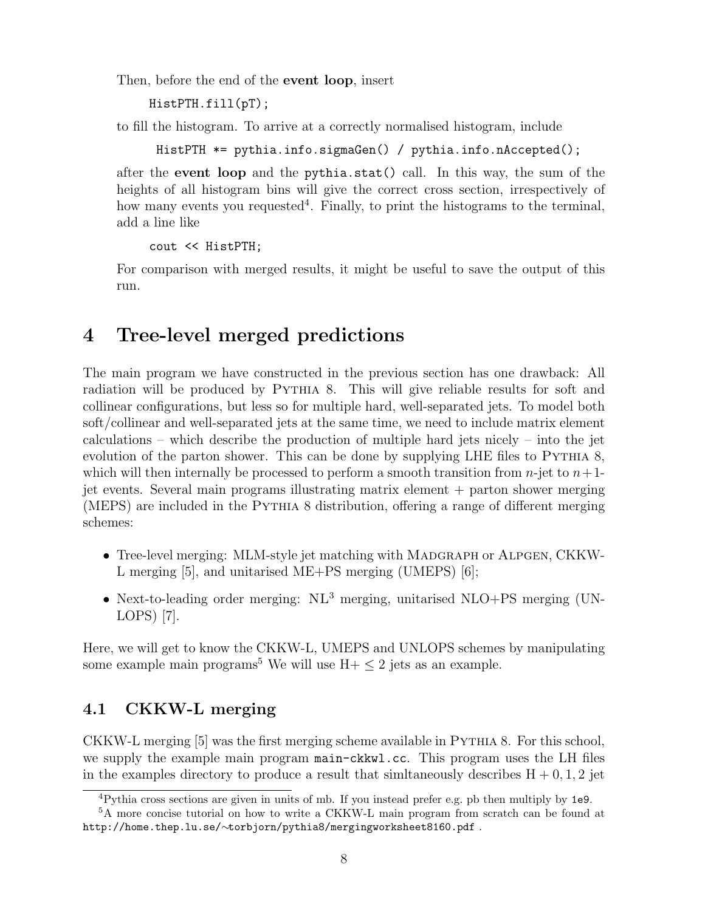Then, before the end of the event loop, insert

```
HistPTH.fill(pT);
```
to fill the histogram. To arrive at a correctly normalised histogram, include

HistPTH \*= pythia.info.sigmaGen() / pythia.info.nAccepted();

after the event loop and the pythia.stat() call. In this way, the sum of the heights of all histogram bins will give the correct cross section, irrespectively of how many events you requested<sup>4</sup>. Finally, to print the histograms to the terminal, add a line like

```
cout << HistPTH;
```
For comparison with merged results, it might be useful to save the output of this run.

## 4 Tree-level merged predictions

The main program we have constructed in the previous section has one drawback: All radiation will be produced by PYTHIA 8. This will give reliable results for soft and collinear configurations, but less so for multiple hard, well-separated jets. To model both soft/collinear and well-separated jets at the same time, we need to include matrix element calculations – which describe the production of multiple hard jets nicely – into the jet evolution of the parton shower. This can be done by supplying LHE files to PYTHIA 8, which will then internally be processed to perform a smooth transition from  $n$ -jet to  $n+1$ jet events. Several main programs illustrating matrix element + parton shower merging (MEPS) are included in the Pythia 8 distribution, offering a range of different merging schemes:

- Tree-level merging: MLM-style jet matching with MADGRAPH or ALPGEN, CKKW-L merging [5], and unitarised ME+PS merging (UMEPS) [6];
- Next-to-leading order merging:  $NL<sup>3</sup>$  merging, unitarised NLO+PS merging (UN-LOPS) [7].

Here, we will get to know the CKKW-L, UMEPS and UNLOPS schemes by manipulating some example main programs<sup>5</sup> We will use  $H + \leq 2$  jets as an example.

### 4.1 CKKW-L merging

CKKW-L merging [5] was the first merging scheme available in Pythia 8. For this school, we supply the example main program main-ckkwl.cc. This program uses the LH files in the examples directory to produce a result that similaneously describes  $H + 0, 1, 2$  jet

<sup>4</sup>Pythia cross sections are given in units of mb. If you instead prefer e.g. pb then multiply by 1e9.

<sup>&</sup>lt;sup>5</sup>A more concise tutorial on how to write a CKKW-L main program from scratch can be found at http://home.thep.lu.se/∼torbjorn/pythia8/mergingworksheet8160.pdf .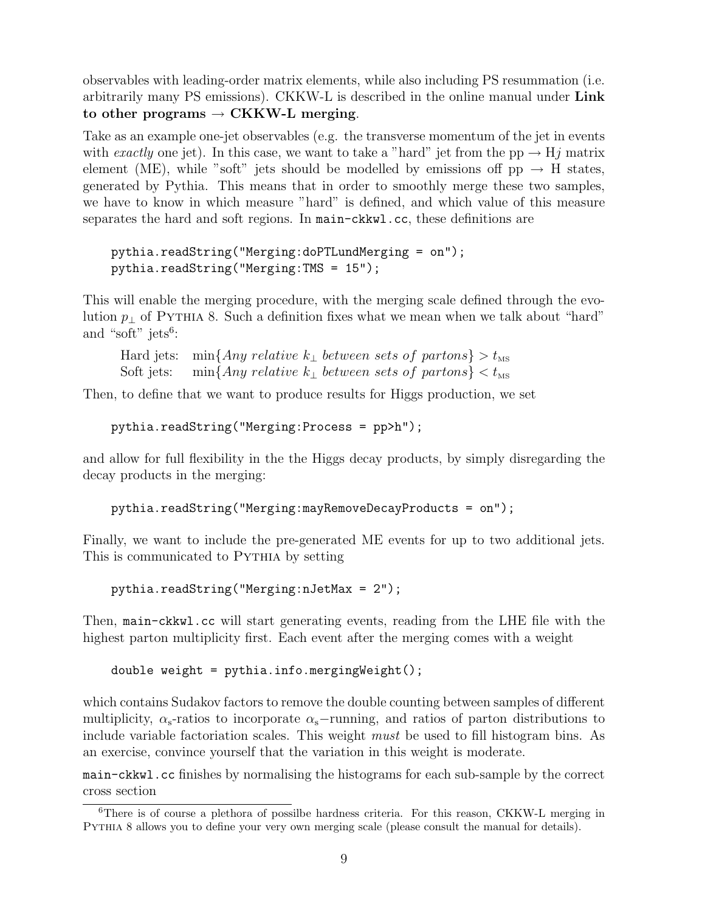observables with leading-order matrix elements, while also including PS resummation (i.e. arbitrarily many PS emissions). CKKW-L is described in the online manual under Link to other programs  $\rightarrow$  CKKW-L merging.

Take as an example one-jet observables (e.g. the transverse momentum of the jet in events with exactly one jet). In this case, we want to take a "hard" jet from the pp  $\rightarrow$  Hj matrix element (ME), while "soft" jets should be modelled by emissions off  $pp \rightarrow H$  states, generated by Pythia. This means that in order to smoothly merge these two samples, we have to know in which measure "hard" is defined, and which value of this measure separates the hard and soft regions. In main-ckkwl.cc, these definitions are

```
pythia.readString("Merging:doPTLundMerging = on");
pythia.readString("Merging:TMS = 15");
```
This will enable the merging procedure, with the merging scale defined through the evolution  $p_{\perp}$  of PYTHIA 8. Such a definition fixes what we mean when we talk about "hard" and "soft" jets<sup>6</sup>:

```
Hard jets: min{Any relative k<sub>⊥</sub> between sets of partons} > t_{\text{MS}}Soft jets: min{Any relative k<sub>⊥</sub> between sets of partons} \langle t_{\text{MS}} \rangle
```
Then, to define that we want to produce results for Higgs production, we set

```
pythia.readString("Merging:Process = pp>h");
```
and allow for full flexibility in the the Higgs decay products, by simply disregarding the decay products in the merging:

```
pythia.readString("Merging:mayRemoveDecayProducts = on");
```
Finally, we want to include the pre-generated ME events for up to two additional jets. This is communicated to PYTHIA by setting

pythia.readString("Merging:nJetMax = 2");

Then, main-ckkwl.cc will start generating events, reading from the LHE file with the highest parton multiplicity first. Each event after the merging comes with a weight

```
double weight = pythia.info.mergingWeight();
```
which contains Sudakov factors to remove the double counting between samples of different multiplicity,  $\alpha_{s}$ -ratios to incorporate  $\alpha_{s}$ -running, and ratios of parton distributions to include variable factoriation scales. This weight must be used to fill histogram bins. As an exercise, convince yourself that the variation in this weight is moderate.

main-ckkwl.cc finishes by normalising the histograms for each sub-sample by the correct cross section

<sup>6</sup>There is of course a plethora of possilbe hardness criteria. For this reason, CKKW-L merging in Pythia 8 allows you to define your very own merging scale (please consult the manual for details).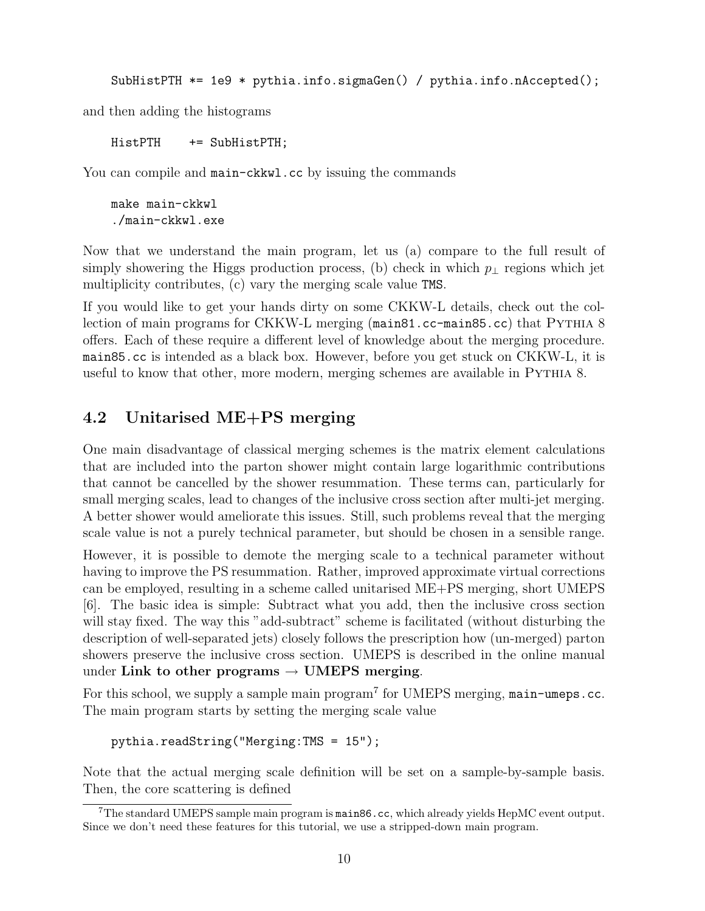SubHistPTH  $*= 1e9 * pythia.info.sizemaGen() / pythia.info.nAccepted();$ 

and then adding the histograms

HistPTH += SubHistPTH;

You can compile and main-ckkwl.cc by issuing the commands

make main-ckkwl ./main-ckkwl.exe

Now that we understand the main program, let us (a) compare to the full result of simply showering the Higgs production process, (b) check in which  $p_{\perp}$  regions which jet multiplicity contributes, (c) vary the merging scale value TMS.

If you would like to get your hands dirty on some CKKW-L details, check out the collection of main programs for CKKW-L merging (main81.cc-main85.cc) that Pythia 8 offers. Each of these require a different level of knowledge about the merging procedure. main85.cc is intended as a black box. However, before you get stuck on CKKW-L, it is useful to know that other, more modern, merging schemes are available in Pythia 8.

#### 4.2 Unitarised ME+PS merging

One main disadvantage of classical merging schemes is the matrix element calculations that are included into the parton shower might contain large logarithmic contributions that cannot be cancelled by the shower resummation. These terms can, particularly for small merging scales, lead to changes of the inclusive cross section after multi-jet merging. A better shower would ameliorate this issues. Still, such problems reveal that the merging scale value is not a purely technical parameter, but should be chosen in a sensible range.

However, it is possible to demote the merging scale to a technical parameter without having to improve the PS resummation. Rather, improved approximate virtual corrections can be employed, resulting in a scheme called unitarised ME+PS merging, short UMEPS [6]. The basic idea is simple: Subtract what you add, then the inclusive cross section will stay fixed. The way this "add-subtract" scheme is facilitated (without disturbing the description of well-separated jets) closely follows the prescription how (un-merged) parton showers preserve the inclusive cross section. UMEPS is described in the online manual under Link to other programs  $\rightarrow$  UMEPS merging.

For this school, we supply a sample main program<sup>7</sup> for UMEPS merging, main-umeps.cc. The main program starts by setting the merging scale value

```
pythia.readString("Merging:TMS = 15");
```
Note that the actual merging scale definition will be set on a sample-by-sample basis. Then, the core scattering is defined

<sup>7</sup>The standard UMEPS sample main program is main86.cc, which already yields HepMC event output. Since we don't need these features for this tutorial, we use a stripped-down main program.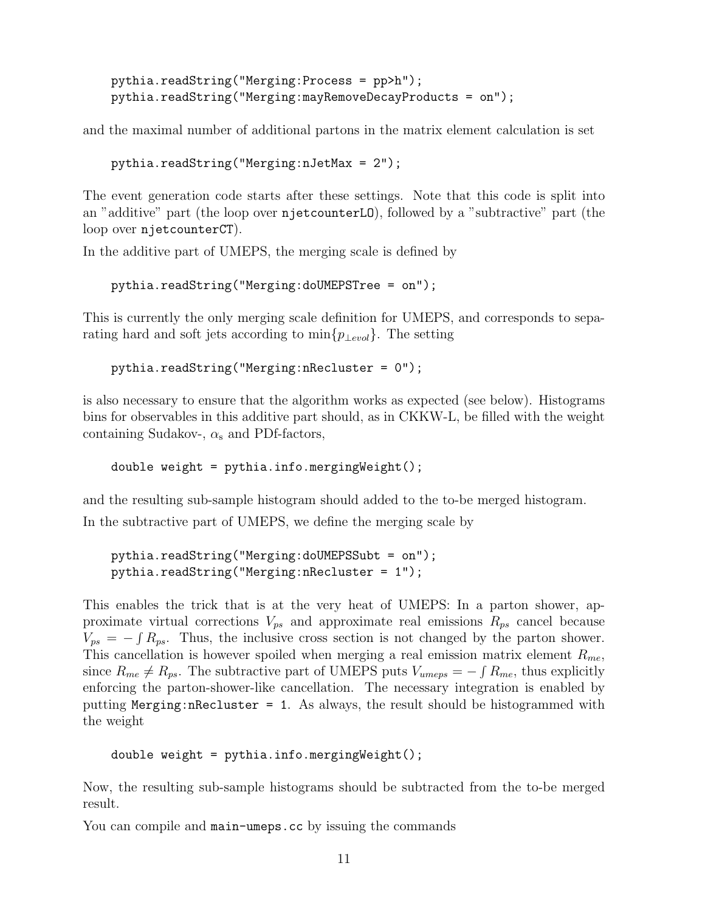```
pythia.readString("Merging:Process = pp>h");
pythia.readString("Merging:mayRemoveDecayProducts = on");
```
and the maximal number of additional partons in the matrix element calculation is set

```
pythia.readString("Merging:nJetMax = 2");
```
The event generation code starts after these settings. Note that this code is split into an "additive" part (the loop over njetcounterLO), followed by a "subtractive" part (the loop over njetcounterCT).

In the additive part of UMEPS, the merging scale is defined by

```
pythia.readString("Merging:doUMEPSTree = on");
```
This is currently the only merging scale definition for UMEPS, and corresponds to separating hard and soft jets according to  $\min\{p_{\perp evol}\}\$ . The setting

```
pythia.readString("Merging:nRecluster = 0");
```
is also necessary to ensure that the algorithm works as expected (see below). Histograms bins for observables in this additive part should, as in CKKW-L, be filled with the weight containing Sudakov-,  $\alpha_s$  and PDf-factors,

double weight =  $python$ ythia.info.mergingWeight $()$ ;

and the resulting sub-sample histogram should added to the to-be merged histogram. In the subtractive part of UMEPS, we define the merging scale by

```
pythia.readString("Merging:doUMEPSSubt = on");
pythia.readString("Merging:nRecluster = 1");
```
This enables the trick that is at the very heat of UMEPS: In a parton shower, approximate virtual corrections  $V_{ps}$  and approximate real emissions  $R_{ps}$  cancel because  $V_{ps} = -\int R_{ps}$ . Thus, the inclusive cross section is not changed by the parton shower. This cancellation is however spoiled when merging a real emission matrix element  $R_{me}$ , since  $R_{me} \neq R_{ps}$ . The subtractive part of UMEPS puts  $V_{umeps} = -\int R_{me}$ , thus explicitly enforcing the parton-shower-like cancellation. The necessary integration is enabled by putting Merging:nRecluster = 1. As always, the result should be histogrammed with the weight

```
double weight = pythia.info.mergingWeight();
```
Now, the resulting sub-sample histograms should be subtracted from the to-be merged result.

You can compile and main-umeps.cc by issuing the commands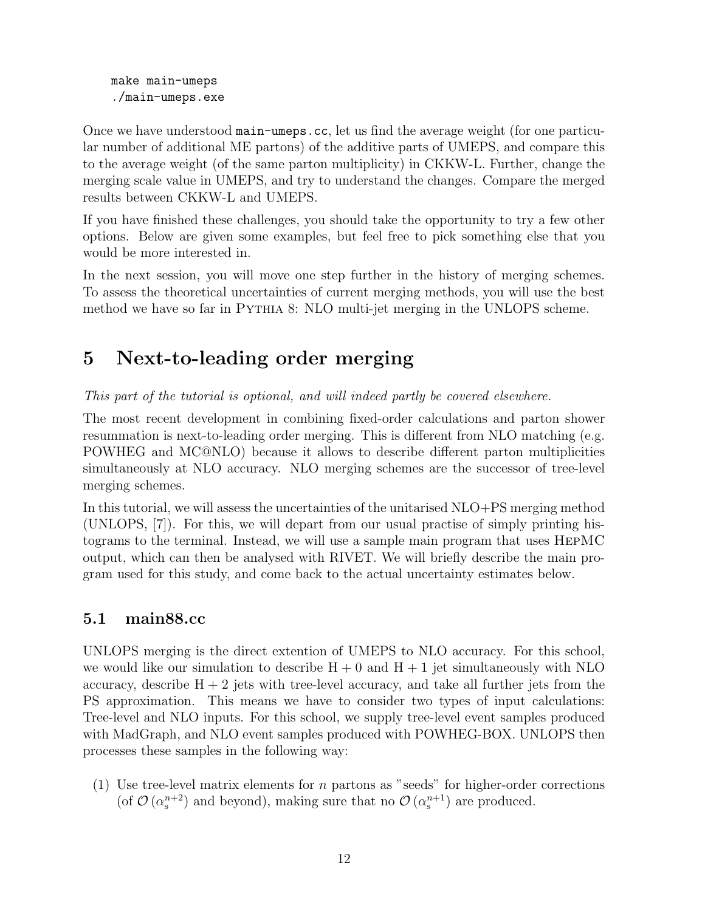make main-umeps ./main-umeps.exe

Once we have understood main-umeps.cc, let us find the average weight (for one particular number of additional ME partons) of the additive parts of UMEPS, and compare this to the average weight (of the same parton multiplicity) in CKKW-L. Further, change the merging scale value in UMEPS, and try to understand the changes. Compare the merged results between CKKW-L and UMEPS.

If you have finished these challenges, you should take the opportunity to try a few other options. Below are given some examples, but feel free to pick something else that you would be more interested in.

In the next session, you will move one step further in the history of merging schemes. To assess the theoretical uncertainties of current merging methods, you will use the best method we have so far in Pythia 8: NLO multi-jet merging in the UNLOPS scheme.

## 5 Next-to-leading order merging

This part of the tutorial is optional, and will indeed partly be covered elsewhere.

The most recent development in combining fixed-order calculations and parton shower resummation is next-to-leading order merging. This is different from NLO matching (e.g. POWHEG and MC@NLO) because it allows to describe different parton multiplicities simultaneously at NLO accuracy. NLO merging schemes are the successor of tree-level merging schemes.

In this tutorial, we will assess the uncertainties of the unitarised NLO+PS merging method (UNLOPS, [7]). For this, we will depart from our usual practise of simply printing histograms to the terminal. Instead, we will use a sample main program that uses HepMC output, which can then be analysed with RIVET. We will briefly describe the main program used for this study, and come back to the actual uncertainty estimates below.

#### 5.1 main88.cc

UNLOPS merging is the direct extention of UMEPS to NLO accuracy. For this school, we would like our simulation to describe  $H + 0$  and  $H + 1$  jet simultaneously with NLO accuracy, describe  $H + 2$  jets with tree-level accuracy, and take all further jets from the PS approximation. This means we have to consider two types of input calculations: Tree-level and NLO inputs. For this school, we supply tree-level event samples produced with MadGraph, and NLO event samples produced with POWHEG-BOX. UNLOPS then processes these samples in the following way:

(1) Use tree-level matrix elements for n partons as "seeds" for higher-order corrections (of  $\mathcal{O}(\alpha_s^{n+2})$  and beyond), making sure that no  $\mathcal{O}(\alpha_s^{n+1})$  are produced.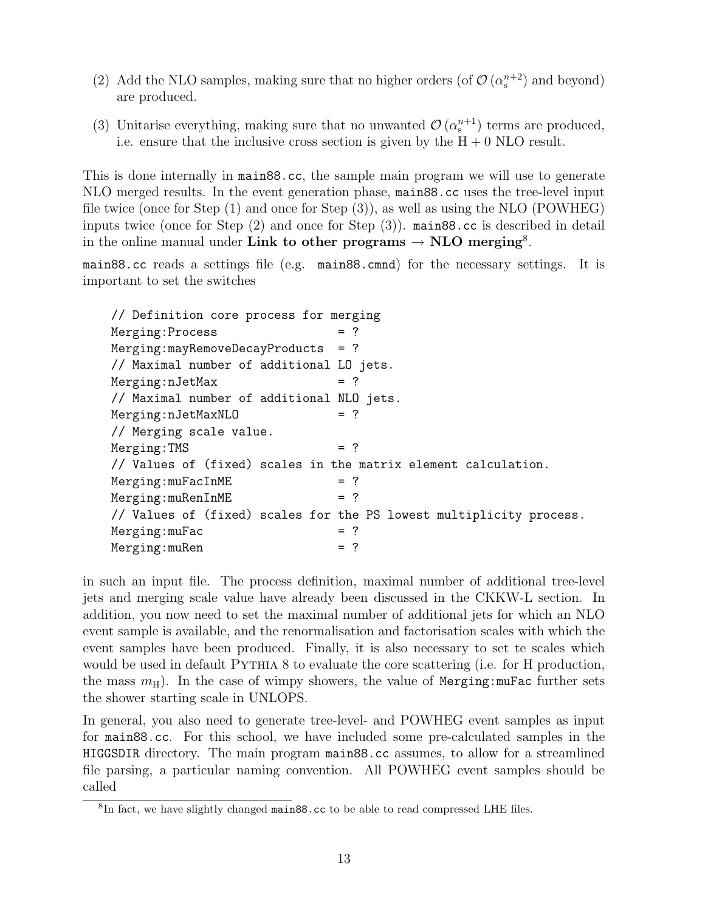- (2) Add the NLO samples, making sure that no higher orders (of  $\mathcal{O}(\alpha_s^{n+2})$  and beyond) are produced.
- (3) Unitarise everything, making sure that no unwanted  $\mathcal{O}(\alpha_s^{n+1})$  terms are produced, i.e. ensure that the inclusive cross section is given by the  $H + 0$  NLO result.

This is done internally in main88.cc, the sample main program we will use to generate NLO merged results. In the event generation phase, main88.cc uses the tree-level input file twice (once for Step (1) and once for Step (3)), as well as using the NLO (POWHEG) inputs twice (once for Step (2) and once for Step (3)). main88.cc is described in detail in the online manual under Link to other programs  $\rightarrow$  NLO merging<sup>8</sup>.

main88.cc reads a settings file (e.g. main88.cmnd) for the necessary settings. It is important to set the switches

// Definition core process for merging Merging: Process  $Merging:$ mayRemoveDecayProducts = ? // Maximal number of additional LO jets. Merging:nJetMax = ? // Maximal number of additional NLO jets.  $Merging:nJetMaxNLO$  = ? // Merging scale value.  $Merging: TMS$  = ? // Values of (fixed) scales in the matrix element calculation.  $Merging: mufacInME$  = ?  $Merging: muRenInME$  = ? // Values of (fixed) scales for the PS lowest multiplicity process.  $Merging: mufac$  = ?  $Merging: muRen$  = ?

in such an input file. The process definition, maximal number of additional tree-level jets and merging scale value have already been discussed in the CKKW-L section. In addition, you now need to set the maximal number of additional jets for which an NLO event sample is available, and the renormalisation and factorisation scales with which the event samples have been produced. Finally, it is also necessary to set te scales which would be used in default PYTHIA 8 to evaluate the core scattering (i.e. for H production, the mass  $m<sub>H</sub>$ ). In the case of wimpy showers, the value of Merging:muFac further sets the shower starting scale in UNLOPS.

In general, you also need to generate tree-level- and POWHEG event samples as input for main88.cc. For this school, we have included some pre-calculated samples in the HIGGSDIR directory. The main program main88.cc assumes, to allow for a streamlined file parsing, a particular naming convention. All POWHEG event samples should be called

<sup>&</sup>lt;sup>8</sup>In fact, we have slightly changed main88.cc to be able to read compressed LHE files.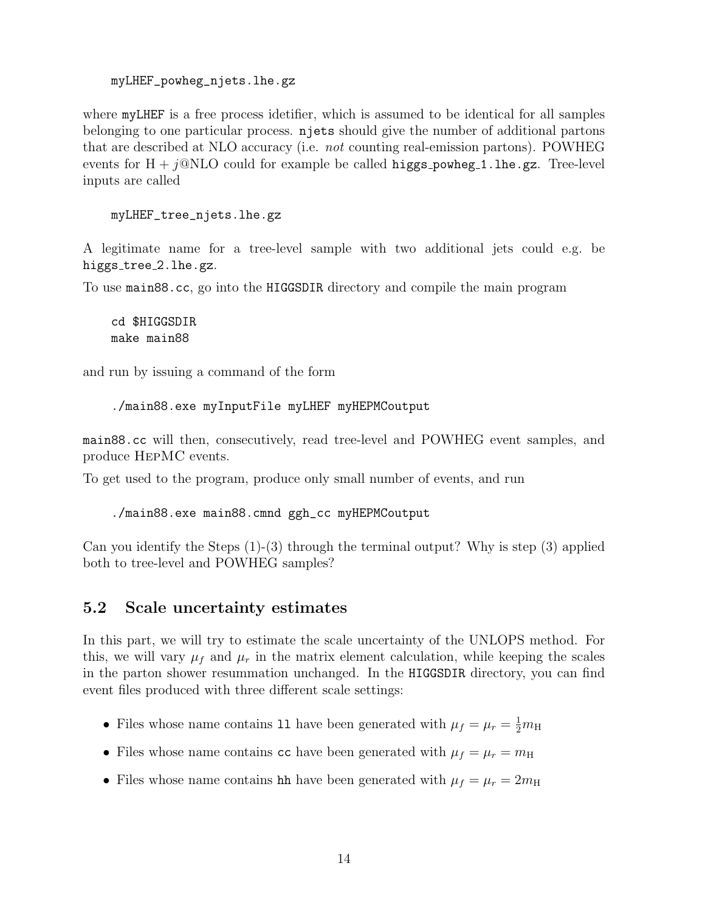#### myLHEF\_powheg\_njets.lhe.gz

where myLHEF is a free process idetifier, which is assumed to be identical for all samples belonging to one particular process. njets should give the number of additional partons that are described at NLO accuracy (i.e. not counting real-emission partons). POWHEG events for  $H + j@NLO$  could for example be called higgs\_powheg\_1.lhe.gz. Tree-level inputs are called

```
myLHEF_tree_njets.lhe.gz
```
A legitimate name for a tree-level sample with two additional jets could e.g. be higgs\_tree\_2.lhe.gz.

To use main88.cc, go into the HIGGSDIR directory and compile the main program

```
cd $HIGGSDIR
make main88
```
and run by issuing a command of the form

./main88.exe myInputFile myLHEF myHEPMCoutput

main88.cc will then, consecutively, read tree-level and POWHEG event samples, and produce HepMC events.

To get used to the program, produce only small number of events, and run

./main88.exe main88.cmnd ggh\_cc myHEPMCoutput

Can you identify the Steps (1)-(3) through the terminal output? Why is step (3) applied both to tree-level and POWHEG samples?

#### 5.2 Scale uncertainty estimates

In this part, we will try to estimate the scale uncertainty of the UNLOPS method. For this, we will vary  $\mu_f$  and  $\mu_r$  in the matrix element calculation, while keeping the scales in the parton shower resummation unchanged. In the HIGGSDIR directory, you can find event files produced with three different scale settings:

- Files whose name contains 11 have been generated with  $\mu_f = \mu_r = \frac{1}{2}m_H$
- Files whose name contains cc have been generated with  $\mu_f = \mu_r = m_H$
- Files whose name contains hh have been generated with  $\mu_f = \mu_r = 2m_H$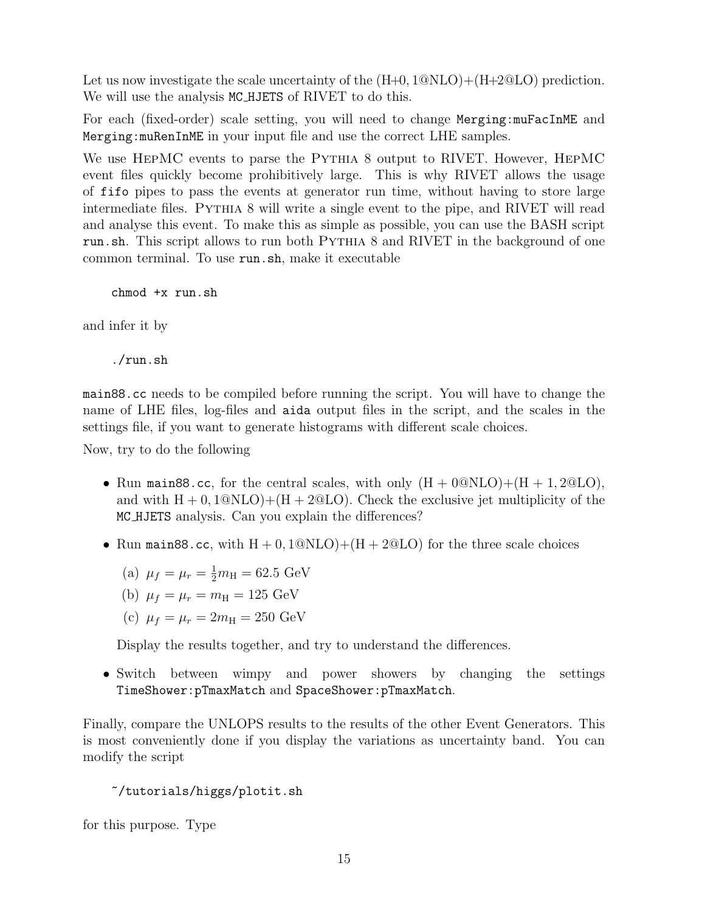Let us now investigate the scale uncertainty of the  $(H+0, 1@NLO)+(H+2@LO)$  prediction. We will use the analysis MC<sub>HJETS</sub> of RIVET to do this.

For each (fixed-order) scale setting, you will need to change Merging:muFacInME and Merging:muRenInME in your input file and use the correct LHE samples.

We use HEPMC events to parse the PYTHIA 8 output to RIVET. However, HEPMC event files quickly become prohibitively large. This is why RIVET allows the usage of fifo pipes to pass the events at generator run time, without having to store large intermediate files. PYTHIA 8 will write a single event to the pipe, and RIVET will read and analyse this event. To make this as simple as possible, you can use the BASH script run.sh. This script allows to run both Pythia 8 and RIVET in the background of one common terminal. To use run.sh, make it executable

chmod +x run.sh

and infer it by

./run.sh

main88.cc needs to be compiled before running the script. You will have to change the name of LHE files, log-files and aida output files in the script, and the scales in the settings file, if you want to generate histograms with different scale choices.

Now, try to do the following

- Run main88.cc, for the central scales, with only  $(H + 0@NLO)+(H + 1,2@LO)$ , and with  $H + 0$ ,  $1@NLO$  +  $(H + 2@LO)$ . Check the exclusive jet multiplicity of the MC HJETS analysis. Can you explain the differences?
- Run main88.cc, with  $H + 0.1@NLO$  +  $(H + 2@LO)$  for the three scale choices

(a) 
$$
\mu_f = \mu_r = \frac{1}{2}m_H = 62.5 \text{ GeV}
$$

- (b)  $\mu_f = \mu_r = m_H = 125 \text{ GeV}$
- (c)  $\mu_f = \mu_r = 2m_H = 250 \text{ GeV}$

Display the results together, and try to understand the differences.

• Switch between wimpy and power showers by changing the settings TimeShower:pTmaxMatch and SpaceShower:pTmaxMatch.

Finally, compare the UNLOPS results to the results of the other Event Generators. This is most conveniently done if you display the variations as uncertainty band. You can modify the script

```
~/tutorials/higgs/plotit.sh
```
for this purpose. Type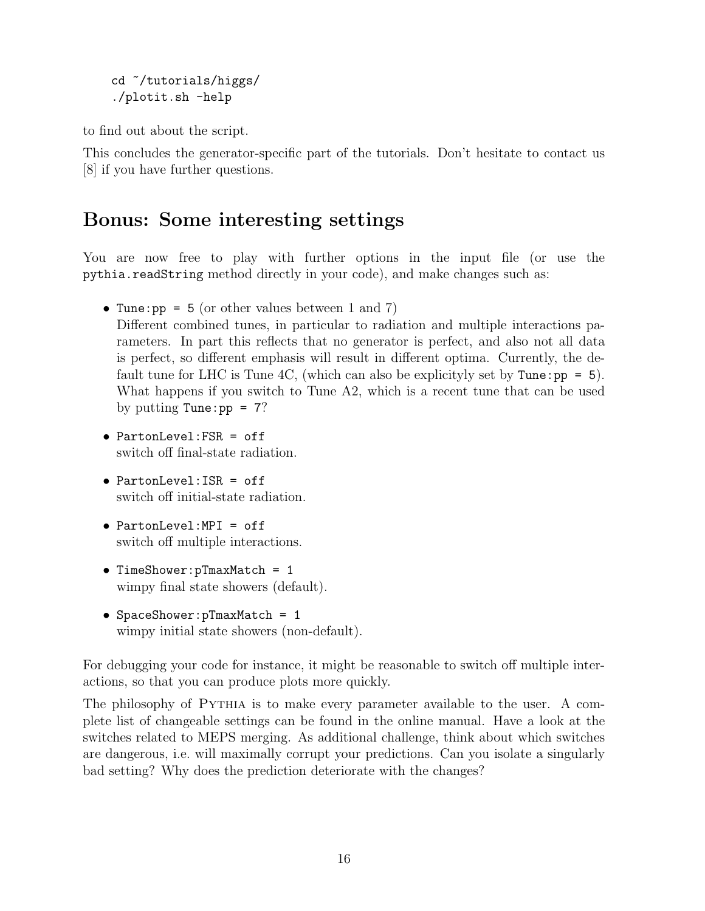cd ~/tutorials/higgs/ ./plotit.sh -help

to find out about the script.

This concludes the generator-specific part of the tutorials. Don't hesitate to contact us [8] if you have further questions.

### Bonus: Some interesting settings

You are now free to play with further options in the input file (or use the pythia.readString method directly in your code), and make changes such as:

- Tune:  $pp = 5$  (or other values between 1 and 7) Different combined tunes, in particular to radiation and multiple interactions parameters. In part this reflects that no generator is perfect, and also not all data is perfect, so different emphasis will result in different optima. Currently, the default tune for LHC is Tune 4C, (which can also be explicityly set by Tune:  $pp = 5$ ). What happens if you switch to Tune A2, which is a recent tune that can be used by putting Tune:  $pp = 7$ ?
- PartonLevel:FSR = off switch off final-state radiation.
- PartonLevel:ISR = off switch off initial-state radiation.
- PartonLevel:MPI = off switch off multiple interactions.
- TimeShower:pTmaxMatch = 1 wimpy final state showers (default).
- SpaceShower:pTmaxMatch = 1 wimpy initial state showers (non-default).

For debugging your code for instance, it might be reasonable to switch off multiple interactions, so that you can produce plots more quickly.

The philosophy of Pythia is to make every parameter available to the user. A complete list of changeable settings can be found in the online manual. Have a look at the switches related to MEPS merging. As additional challenge, think about which switches are dangerous, i.e. will maximally corrupt your predictions. Can you isolate a singularly bad setting? Why does the prediction deteriorate with the changes?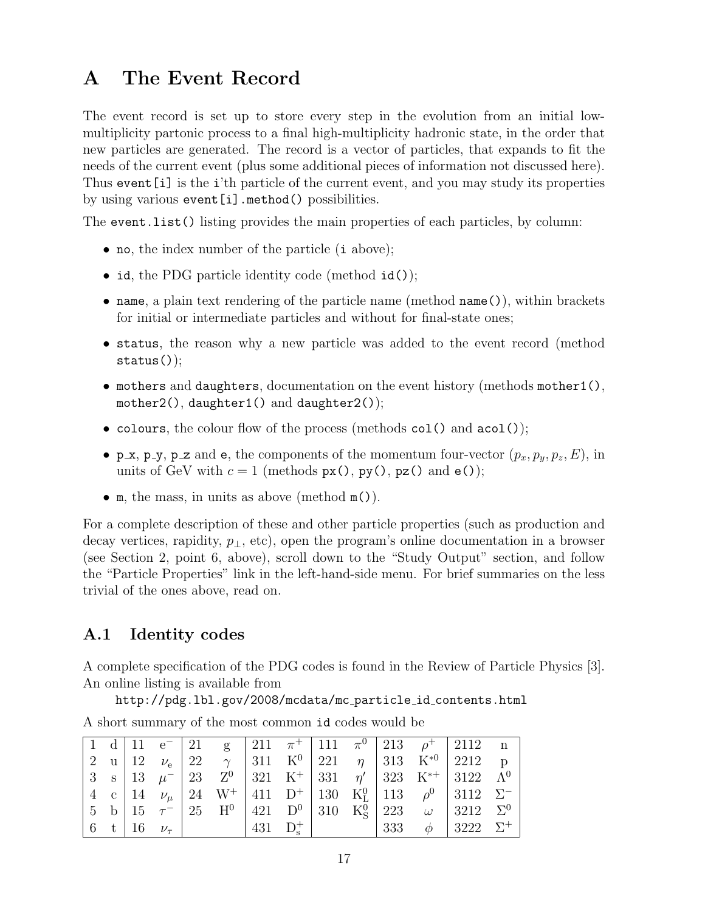### A The Event Record

The event record is set up to store every step in the evolution from an initial lowmultiplicity partonic process to a final high-multiplicity hadronic state, in the order that new particles are generated. The record is a vector of particles, that expands to fit the needs of the current event (plus some additional pieces of information not discussed here). Thus event[i] is the i'th particle of the current event, and you may study its properties by using various event[i].method() possibilities.

The event.list() listing provides the main properties of each particles, by column:

- no, the index number of the particle (i above);
- id, the PDG particle identity code (method id());
- name, a plain text rendering of the particle name (method name()), within brackets for initial or intermediate particles and without for final-state ones;
- status, the reason why a new particle was added to the event record (method status());
- mothers and daughters, documentation on the event history (methods mother1(), mother2(), daughter1() and daughter2());
- colours, the colour flow of the process (methods col() and acol());
- p\_x, p\_y, p\_z and e, the components of the momentum four-vector  $(p_x, p_y, p_z, E)$ , in units of GeV with  $c = 1$  (methods  $px()$ ,  $py()$ ,  $pz()$  and  $e()$ );
- m, the mass, in units as above (method m()).

For a complete description of these and other particle properties (such as production and decay vertices, rapidity,  $p_{\perp}$ , etc), open the program's online documentation in a browser (see Section 2, point 6, above), scroll down to the "Study Output" section, and follow the "Particle Properties" link in the left-hand-side menu. For brief summaries on the less trivial of the ones above, read on.

#### A.1 Identity codes

A complete specification of the PDG codes is found in the Review of Particle Physics [3]. An online listing is available from

http://pdg.lbl.gov/2008/mcdata/mc particle id contents.html

| A short summary of the most common id codes would be |  |  |  |  |
|------------------------------------------------------|--|--|--|--|

|  |  |  |  |  |  | 1 d   11 e <sup>-</sup>   21 g   211 $\pi$ <sup>+</sup>   111 $\pi$ <sup>0</sup>   213 $\rho$ <sup>+</sup>   2112 n              |  |
|--|--|--|--|--|--|----------------------------------------------------------------------------------------------------------------------------------|--|
|  |  |  |  |  |  |                                                                                                                                  |  |
|  |  |  |  |  |  |                                                                                                                                  |  |
|  |  |  |  |  |  | 4 c   14 $\nu_{\mu}$   24 W <sup>+</sup>   411 D <sup>+</sup>   130 K <sup>0</sup> <sub>L</sub>   113 $\rho^0$   3112 $\Sigma^-$ |  |
|  |  |  |  |  |  |                                                                                                                                  |  |
|  |  |  |  |  |  |                                                                                                                                  |  |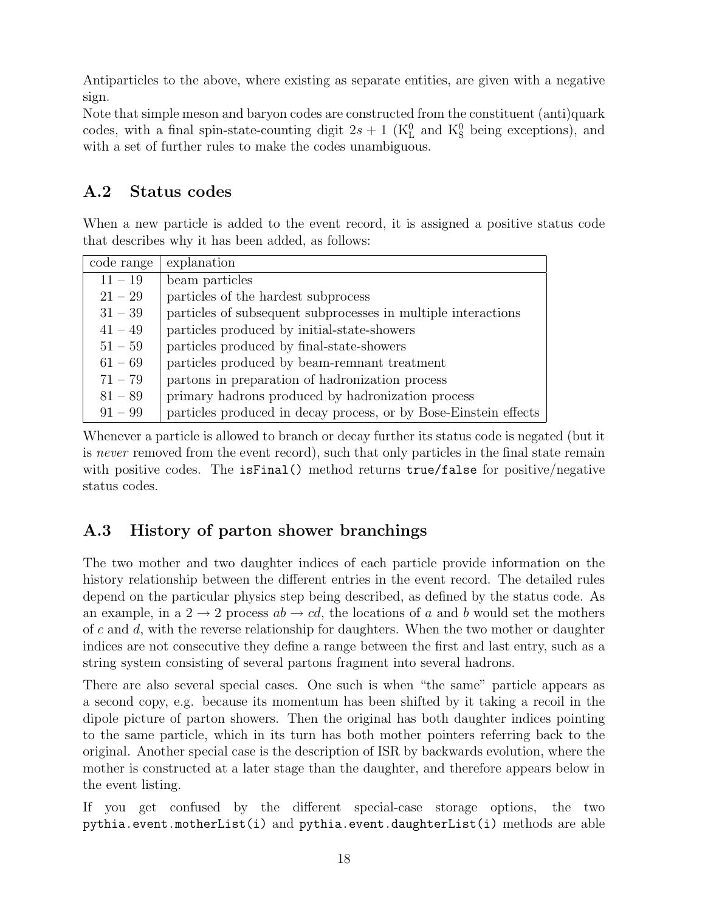Antiparticles to the above, where existing as separate entities, are given with a negative sign.

Note that simple meson and baryon codes are constructed from the constituent (anti)quark codes, with a final spin-state-counting digit  $2s + 1$  (K<sup>0</sup><sub>L</sub> and K<sup>0</sup><sub>S</sub> being exceptions), and with a set of further rules to make the codes unambiguous.

### A.2 Status codes

When a new particle is added to the event record, it is assigned a positive status code that describes why it has been added, as follows:

| code range | explanation                                                      |  |  |  |
|------------|------------------------------------------------------------------|--|--|--|
| $11 - 19$  | beam particles                                                   |  |  |  |
| $21 - 29$  | particles of the hardest subprocess                              |  |  |  |
| $31 - 39$  | particles of subsequent subprocesses in multiple interactions    |  |  |  |
| $41 - 49$  | particles produced by initial-state-showers                      |  |  |  |
| $51 - 59$  | particles produced by final-state-showers                        |  |  |  |
| $61 - 69$  | particles produced by beam-remnant treatment                     |  |  |  |
| $71 - 79$  | partons in preparation of hadronization process                  |  |  |  |
| $81 - 89$  | primary hadrons produced by hadronization process                |  |  |  |
| $91 - 99$  | particles produced in decay process, or by Bose-Einstein effects |  |  |  |

Whenever a particle is allowed to branch or decay further its status code is negated (but it is never removed from the event record), such that only particles in the final state remain with positive codes. The isfinal () method returns true/false for positive/negative status codes.

### A.3 History of parton shower branchings

The two mother and two daughter indices of each particle provide information on the history relationship between the different entries in the event record. The detailed rules depend on the particular physics step being described, as defined by the status code. As an example, in a  $2 \rightarrow 2$  process  $ab \rightarrow cd$ , the locations of a and b would set the mothers of c and  $d$ , with the reverse relationship for daughters. When the two mother or daughter indices are not consecutive they define a range between the first and last entry, such as a string system consisting of several partons fragment into several hadrons.

There are also several special cases. One such is when "the same" particle appears as a second copy, e.g. because its momentum has been shifted by it taking a recoil in the dipole picture of parton showers. Then the original has both daughter indices pointing to the same particle, which in its turn has both mother pointers referring back to the original. Another special case is the description of ISR by backwards evolution, where the mother is constructed at a later stage than the daughter, and therefore appears below in the event listing.

If you get confused by the different special-case storage options, the two pythia.event.motherList(i) and pythia.event.daughterList(i) methods are able